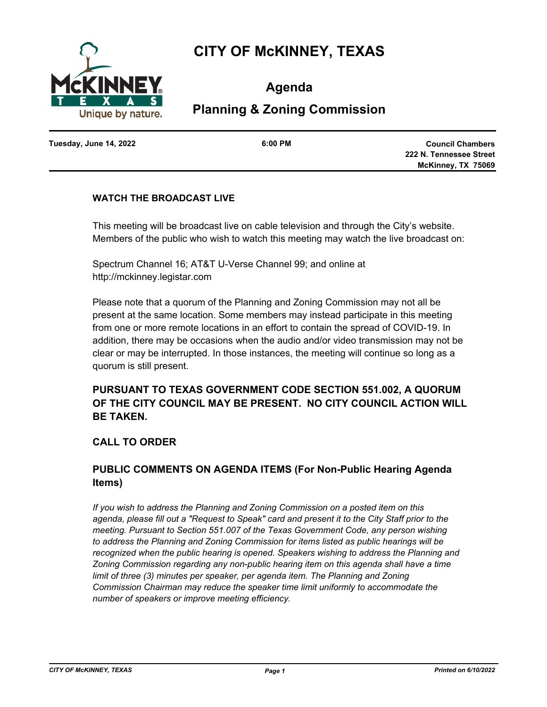

# **CITY OF McKINNEY, TEXAS**

**Agenda**

# **Planning & Zoning Commission**

**Tuesday, June 14, 2022 6:00 PM**

**Council Chambers 222 N. Tennessee Street McKinney, TX 75069**

#### **WATCH THE BROADCAST LIVE**

This meeting will be broadcast live on cable television and through the City's website. Members of the public who wish to watch this meeting may watch the live broadcast on:

Spectrum Channel 16; AT&T U-Verse Channel 99; and online at http://mckinney.legistar.com

Please note that a quorum of the Planning and Zoning Commission may not all be present at the same location. Some members may instead participate in this meeting from one or more remote locations in an effort to contain the spread of COVID-19. In addition, there may be occasions when the audio and/or video transmission may not be clear or may be interrupted. In those instances, the meeting will continue so long as a quorum is still present.

# **PURSUANT TO TEXAS GOVERNMENT CODE SECTION 551.002, A QUORUM OF THE CITY COUNCIL MAY BE PRESENT. NO CITY COUNCIL ACTION WILL BE TAKEN.**

## **CALL TO ORDER**

# **PUBLIC COMMENTS ON AGENDA ITEMS (For Non-Public Hearing Agenda Items)**

*If you wish to address the Planning and Zoning Commission on a posted item on this agenda, please fill out a "Request to Speak" card and present it to the City Staff prior to the meeting. Pursuant to Section 551.007 of the Texas Government Code, any person wishing to address the Planning and Zoning Commission for items listed as public hearings will be recognized when the public hearing is opened. Speakers wishing to address the Planning and Zoning Commission regarding any non-public hearing item on this agenda shall have a time limit of three (3) minutes per speaker, per agenda item. The Planning and Zoning Commission Chairman may reduce the speaker time limit uniformly to accommodate the number of speakers or improve meeting efficiency.*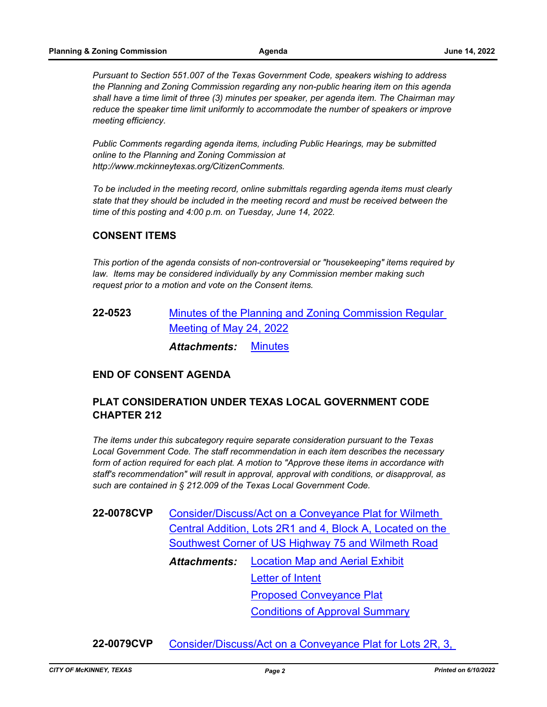*Pursuant to Section 551.007 of the Texas Government Code, speakers wishing to address the Planning and Zoning Commission regarding any non-public hearing item on this agenda shall have a time limit of three (3) minutes per speaker, per agenda item. The Chairman may reduce the speaker time limit uniformly to accommodate the number of speakers or improve meeting efficiency.*

*Public Comments regarding agenda items, including Public Hearings, may be submitted online to the Planning and Zoning Commission at http://www.mckinneytexas.org/CitizenComments.*

*To be included in the meeting record, online submittals regarding agenda items must clearly state that they should be included in the meeting record and must be received between the time of this posting and 4:00 p.m. on Tuesday, June 14, 2022.*

#### **CONSENT ITEMS**

*This portion of the agenda consists of non-controversial or "housekeeping" items required by law. Items may be considered individually by any Commission member making such request prior to a motion and vote on the Consent items.*

# **22-0523** [Minutes of the Planning and Zoning Commission Regular](http://mckinney.legistar.com/gateway.aspx?m=l&id=23964)  Meeting of May 24, 2022

*Attachments:* [Minutes](http://McKinney.legistar.com/gateway.aspx?M=F&ID=8b52bcfa-b522-4203-b0ae-2942751ae1bc.pdf)

#### **END OF CONSENT AGENDA**

## **PLAT CONSIDERATION UNDER TEXAS LOCAL GOVERNMENT CODE CHAPTER 212**

*The items under this subcategory require separate consideration pursuant to the Texas Local Government Code. The staff recommendation in each item describes the necessary form of action required for each plat. A motion to "Approve these items in accordance with staff's recommendation" will result in approval, approval with conditions, or disapproval, as such are contained in § 212.009 of the Texas Local Government Code.*

**22-0078CVP** Consider/Discuss/Act on a Conveyance Plat for Wilmeth [Central Addition, Lots 2R1 and 4, Block A, Located on the](http://mckinney.legistar.com/gateway.aspx?m=l&id=23953)  Southwest Corner of US Highway 75 and Wilmeth Road [Location Map and Aerial Exhibit](http://McKinney.legistar.com/gateway.aspx?M=F&ID=d4e24713-5eb5-4c95-8d00-e01a357a72c9.pdf) [Letter of Intent](http://McKinney.legistar.com/gateway.aspx?M=F&ID=463eda22-4d13-4349-82e6-15a8628ef8d6.pdf) [Proposed Conveyance Plat](http://McKinney.legistar.com/gateway.aspx?M=F&ID=bff1dc47-dec0-45c3-a8c9-30c1d771174b.pdf) [Conditions of Approval Summary](http://McKinney.legistar.com/gateway.aspx?M=F&ID=e97a141c-c9db-411b-8998-aa8571110a8c.pdf) *Attachments:*

**22-0079CVP** [Consider/Discuss/Act on a Conveyance Plat for Lots 2R, 3,](http://mckinney.legistar.com/gateway.aspx?m=l&id=23966)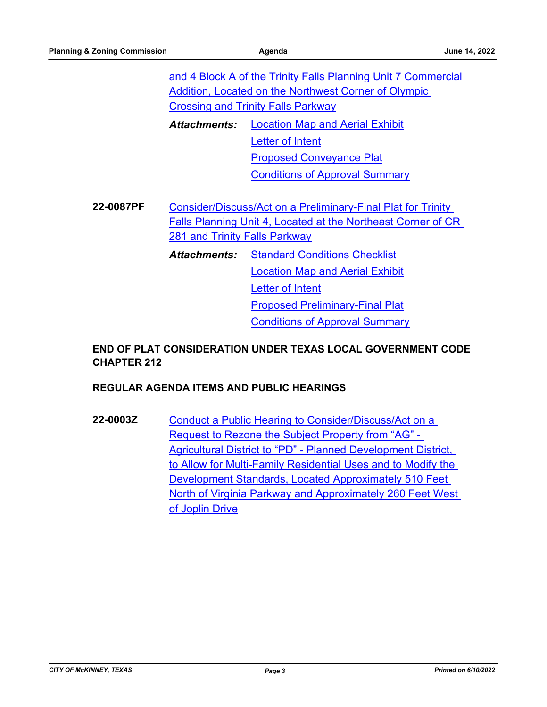|           | and 4 Block A of the Trinity Falls Planning Unit 7 Commercial |                                                              |  |
|-----------|---------------------------------------------------------------|--------------------------------------------------------------|--|
|           | <b>Addition, Located on the Northwest Corner of Olympic</b>   |                                                              |  |
|           | <b>Crossing and Trinity Falls Parkway</b>                     |                                                              |  |
|           | Attachments:                                                  | <b>Location Map and Aerial Exhibit</b>                       |  |
|           |                                                               | <b>Letter of Intent</b>                                      |  |
|           |                                                               | <b>Proposed Conveyance Plat</b>                              |  |
|           |                                                               | <b>Conditions of Approval Summary</b>                        |  |
|           |                                                               |                                                              |  |
|           | Consider/Discuss/Act on a Preliminary-Final Plat for Trinity  |                                                              |  |
| 22-0087PF |                                                               |                                                              |  |
|           |                                                               | Falls Planning Unit 4, Located at the Northeast Corner of CR |  |
|           | 281 and Trinity Falls Parkway                                 |                                                              |  |
|           | <b>Attachments:</b>                                           | <b>Standard Conditions Checklist</b>                         |  |
|           |                                                               | <b>Location Map and Aerial Exhibit</b>                       |  |
|           |                                                               | Letter of Intent                                             |  |
|           |                                                               | <b>Proposed Preliminary-Final Plat</b>                       |  |

# **END OF PLAT CONSIDERATION UNDER TEXAS LOCAL GOVERNMENT CODE CHAPTER 212**

#### **REGULAR AGENDA ITEMS AND PUBLIC HEARINGS**

**22-0003Z** Conduct a Public Hearing to Consider/Discuss/Act on a Request to Rezone the Subject Property from "AG" - Agricultural District to "PD" - Planned Development District, to Allow for Multi-Family Residential Uses and to Modify the Development Standards, Located Approximately 510 Feet [North of Virginia Parkway and Approximately 260 Feet West](http://mckinney.legistar.com/gateway.aspx?m=l&id=23948)  of Joplin Drive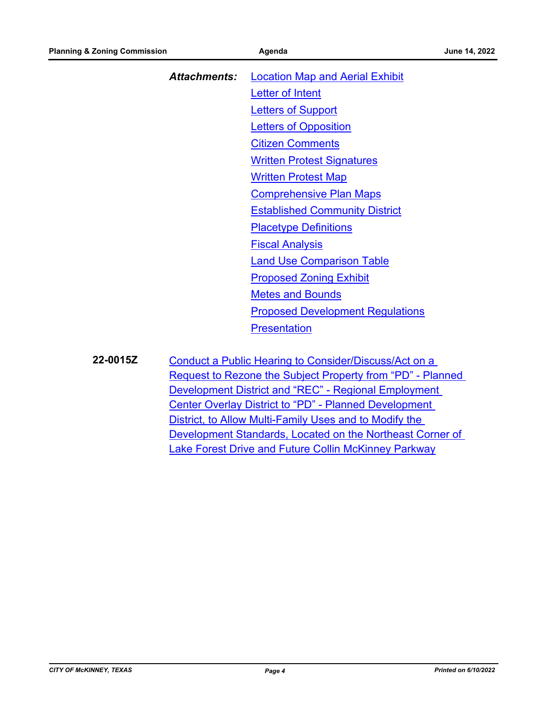| Attachments: | <b>Location Map and Aerial Exhibit</b>                             |  |
|--------------|--------------------------------------------------------------------|--|
|              | Letter of Intent                                                   |  |
|              | <b>Letters of Support</b>                                          |  |
|              | <b>Letters of Opposition</b>                                       |  |
|              | <b>Citizen Comments</b>                                            |  |
|              | <b>Written Protest Signatures</b>                                  |  |
|              | <b>Written Protest Map</b>                                         |  |
|              | <b>Comprehensive Plan Maps</b>                                     |  |
|              | <b>Established Community District</b>                              |  |
|              | <b>Placetype Definitions</b>                                       |  |
|              | <b>Fiscal Analysis</b>                                             |  |
|              | <b>Land Use Comparison Table</b><br><b>Proposed Zoning Exhibit</b> |  |
|              |                                                                    |  |
|              | <b>Metes and Bounds</b>                                            |  |
|              | <b>Proposed Development Regulations</b>                            |  |
|              | Presentation                                                       |  |
|              |                                                                    |  |

**22-0015Z** Conduct a Public Hearing to Consider/Discuss/Act on a [Request to Rezone the Subject Property from "PD" - Planned](http://mckinney.legistar.com/gateway.aspx?m=l&id=23947)  Development District and "REC" - Regional Employment Center Overlay District to "PD" - Planned Development District, to Allow Multi-Family Uses and to Modify the Development Standards, Located on the Northeast Corner of Lake Forest Drive and Future Collin McKinney Parkway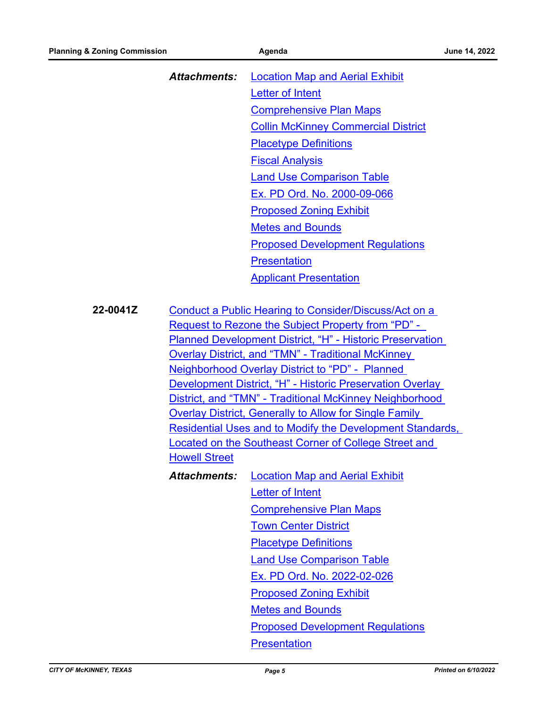|          | <b>Attachments:</b>                                   | <b>Location Map and Aerial Exhibit</b>                                                                                   |
|----------|-------------------------------------------------------|--------------------------------------------------------------------------------------------------------------------------|
|          |                                                       | <b>Letter of Intent</b>                                                                                                  |
|          |                                                       | <b>Comprehensive Plan Maps</b>                                                                                           |
|          |                                                       | <b>Collin McKinney Commercial District</b>                                                                               |
|          |                                                       | <b>Placetype Definitions</b>                                                                                             |
|          |                                                       | <b>Fiscal Analysis</b>                                                                                                   |
|          |                                                       | <b>Land Use Comparison Table</b>                                                                                         |
|          |                                                       | Ex. PD Ord. No. 2000-09-066                                                                                              |
|          |                                                       | <b>Proposed Zoning Exhibit</b>                                                                                           |
|          |                                                       | <b>Metes and Bounds</b>                                                                                                  |
|          |                                                       | <b>Proposed Development Regulations</b>                                                                                  |
|          |                                                       | <b>Presentation</b>                                                                                                      |
|          |                                                       | <b>Applicant Presentation</b>                                                                                            |
|          |                                                       |                                                                                                                          |
| 22-0041Z | Conduct a Public Hearing to Consider/Discuss/Act on a |                                                                                                                          |
|          |                                                       | <b>Request to Rezone the Subject Property from "PD" -</b>                                                                |
|          |                                                       | <b>Planned Development District, "H" - Historic Preservation</b>                                                         |
|          |                                                       | <b>Overlay District, and "TMN" - Traditional McKinney</b>                                                                |
|          |                                                       | <b>Neighborhood Overlay District to "PD" - Planned</b>                                                                   |
|          |                                                       | <b>Development District, "H" - Historic Preservation Overlay</b>                                                         |
|          |                                                       | District, and "TMN" - Traditional McKinney Neighborhood<br><b>Overlay District, Generally to Allow for Single Family</b> |
|          |                                                       | <b>Residential Uses and to Modify the Development Standards,</b>                                                         |
|          |                                                       | Located on the Southeast Corner of College Street and                                                                    |
|          | <b>Howell Street</b>                                  |                                                                                                                          |
|          | <b>Attachments:</b>                                   | <b>Location Map and Aerial Exhibit</b>                                                                                   |
|          |                                                       | <b>Letter of Intent</b>                                                                                                  |
|          |                                                       | <b>Comprehensive Plan Maps</b>                                                                                           |
|          |                                                       | <b>Town Center District</b>                                                                                              |
|          |                                                       | <b>Placetype Definitions</b>                                                                                             |
|          |                                                       | <b>Land Use Comparison Table</b>                                                                                         |
|          |                                                       | Ex. PD Ord. No. 2022-02-026                                                                                              |
|          |                                                       | <b>Proposed Zoning Exhibit</b>                                                                                           |
|          |                                                       | <b>Metes and Bounds</b>                                                                                                  |
|          |                                                       | <b>Proposed Development Regulations</b>                                                                                  |
|          |                                                       | <b>Presentation</b>                                                                                                      |